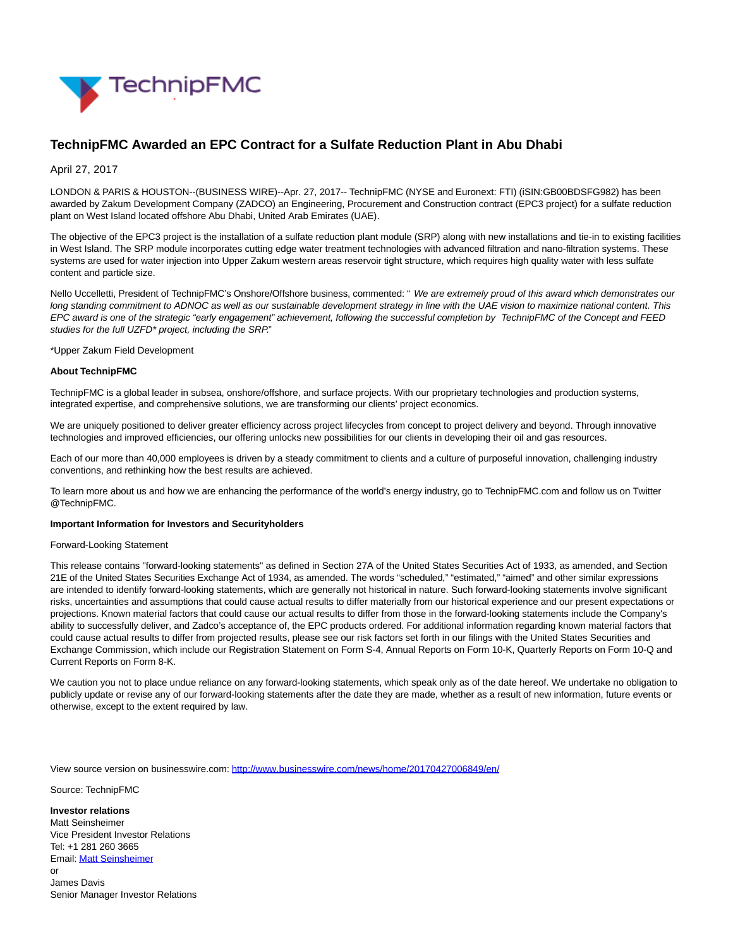

## **TechnipFMC Awarded an EPC Contract for a Sulfate Reduction Plant in Abu Dhabi**

April 27, 2017

LONDON & PARIS & HOUSTON--(BUSINESS WIRE)--Apr. 27, 2017-- TechnipFMC (NYSE and Euronext: FTI) (iSIN:GB00BDSFG982) has been awarded by Zakum Development Company (ZADCO) an Engineering, Procurement and Construction contract (EPC3 project) for a sulfate reduction plant on West Island located offshore Abu Dhabi, United Arab Emirates (UAE).

The objective of the EPC3 project is the installation of a sulfate reduction plant module (SRP) along with new installations and tie-in to existing facilities in West Island. The SRP module incorporates cutting edge water treatment technologies with advanced filtration and nano-filtration systems. These systems are used for water injection into Upper Zakum western areas reservoir tight structure, which requires high quality water with less sulfate content and particle size.

Nello Uccelletti, President of TechnipFMC's Onshore/Offshore business, commented: "We are extremely proud of this award which demonstrates our long standing commitment to ADNOC as well as our sustainable development strategy in line with the UAE vision to maximize national content. This EPC award is one of the strategic "early engagement" achievement, following the successful completion by TechnipFMC of the Concept and FEED studies for the full UZFD<sup>\*</sup> project, including the SRP."

\*Upper Zakum Field Development

## **About TechnipFMC**

TechnipFMC is a global leader in subsea, onshore/offshore, and surface projects. With our proprietary technologies and production systems, integrated expertise, and comprehensive solutions, we are transforming our clients' project economics.

We are uniquely positioned to deliver greater efficiency across project lifecycles from concept to project delivery and beyond. Through innovative technologies and improved efficiencies, our offering unlocks new possibilities for our clients in developing their oil and gas resources.

Each of our more than 40,000 employees is driven by a steady commitment to clients and a culture of purposeful innovation, challenging industry conventions, and rethinking how the best results are achieved.

To learn more about us and how we are enhancing the performance of the world's energy industry, go to TechnipFMC.com and follow us on Twitter @TechnipFMC.

## **Important Information for Investors and Securityholders**

## Forward-Looking Statement

This release contains "forward-looking statements" as defined in Section 27A of the United States Securities Act of 1933, as amended, and Section 21E of the United States Securities Exchange Act of 1934, as amended. The words "scheduled," "estimated," "aimed" and other similar expressions are intended to identify forward-looking statements, which are generally not historical in nature. Such forward-looking statements involve significant risks, uncertainties and assumptions that could cause actual results to differ materially from our historical experience and our present expectations or projections. Known material factors that could cause our actual results to differ from those in the forward-looking statements include the Company's ability to successfully deliver, and Zadco's acceptance of, the EPC products ordered. For additional information regarding known material factors that could cause actual results to differ from projected results, please see our risk factors set forth in our filings with the United States Securities and Exchange Commission, which include our Registration Statement on Form S-4, Annual Reports on Form 10-K, Quarterly Reports on Form 10-Q and Current Reports on Form 8-K.

We caution you not to place undue reliance on any forward-looking statements, which speak only as of the date hereof. We undertake no obligation to publicly update or revise any of our forward-looking statements after the date they are made, whether as a result of new information, future events or otherwise, except to the extent required by law.

View source version on businesswire.com:<http://www.businesswire.com/news/home/20170427006849/en/>

Source: TechnipFMC

**Investor relations** Matt Seinsheimer Vice President Investor Relations Tel: +1 281 260 3665 Email[: Matt Seinsheimer](mailto:InvestorRelations@TechnipFMC.com) or

James Davis Senior Manager Investor Relations